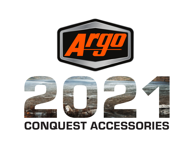## CONQUEST ACCESSORIES



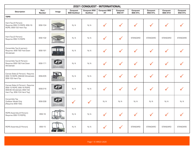| <b>2021 CONQUEST - INTERNATIONAL</b>                                                                                         |                       |                                                              |                                  |                                  |                                  |                           |                             |                             |                             |                             |
|------------------------------------------------------------------------------------------------------------------------------|-----------------------|--------------------------------------------------------------|----------------------------------|----------------------------------|----------------------------------|---------------------------|-----------------------------|-----------------------------|-----------------------------|-----------------------------|
| <b>Description</b>                                                                                                           | Part<br><b>Number</b> | Image                                                        | <b>Conquest</b><br>800 Outfitter | Conquest 950<br><b>Outfitter</b> | <b>Conquest 800</b><br><b>XT</b> | <b>Conquest</b><br>950 XT | <b>Conquest</b><br>800 XT-L | <b>Conquest</b><br>950 XT-L | <b>Conquest</b><br>800 XT-X | <b>Conquest</b><br>950 XT-L |
| <b>TOPS</b>                                                                                                                  |                       |                                                              |                                  |                                  |                                  |                           |                             |                             |                             |                             |
| Hard Top (4 Person)-<br>Requires 956-15 ROPS, 956-16<br>ROPS, 958-102 Hard Top                                               | 958-104               |                                                              | N/A                              | N/A                              |                                  | √                         |                             | $\checkmark$                |                             |                             |
| Hard Top (2 Person) -<br>Requires 956-15 ROPS                                                                                | 958-102               |                                                              | N/A                              | N/A                              | $\checkmark$                     | $\checkmark$              | <b>STANDARD</b>             | <b>STANDARD</b>             | <b>STANDARD</b>             | <b>STANDARD</b>             |
| Convertible Top (4 person) -<br>Requires: 958-192 Fold Down<br>Windshield                                                    | 958-191               |                                                              | N/A                              | N/A                              |                                  | $\checkmark$              | $\checkmark$                |                             |                             |                             |
| Convertible Top (2 Person) -<br>Requires 958-192 Fold Down<br>Windshield                                                     | 958-171               | <b>Argo</b><br>PICTURE NOT AVAILABLE<br>PHOTO NON DISPONIBLE | N/A                              | N/A                              |                                  | $\checkmark$              | $\checkmark$                | $\checkmark$                |                             |                             |
| Canvas Sides (2 Person) - Requires<br>956-15 ROPS, 958-90 Windshield,<br>958-102 Hard Top                                    | 958-205               |                                                              | N/A                              | N/A                              |                                  | ✓                         | $\checkmark$                |                             |                             |                             |
| Canvas Sides [4 Person] - Requires<br>956-15 ROPS, 956-16 ROPS,<br>958-90 Windshield, 958-102<br>Hard Top, 958-104 Hard Top) | 958-216               | <b>Argu</b><br>PICTURE NOT AVAILABLE<br>PHOTO NON DISPONIBLE | N/A                              | N/A                              |                                  | $\checkmark$              | $\checkmark$                |                             |                             |                             |
| Convertible Top<br>Outfitter Model Only<br>[Requires 958-192]                                                                | 958-338               | <b>Argo</b><br>PICTURE NOT AVAILABLE<br>PHOTO NON DISPONIBLE | $\checkmark$                     |                                  | N/A                              | N/A                       | N/A                         | N/A                         | N/A                         | N/A                         |
| ROPS Assembly (4 Person) -<br>Requires 956-15 ROPS)                                                                          | 956-16                |                                                              | N/A                              | N/A                              | ╭                                |                           |                             |                             |                             |                             |
| ROPS Assembly (2 Person)                                                                                                     | 956-15                |                                                              | N/A                              | N/A                              | $\checkmark$                     | $\checkmark$              | <b>STANDARD</b>             | <b>STANDARD</b>             | <b>STANDARD</b>             | <b>STANDARD</b>             |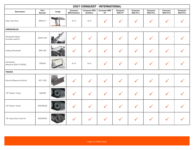| <b>2021 CONQUEST - INTERNATIONAL</b>  |                       |       |                           |                                  |                           |                    |                      |                      |                             |                      |
|---------------------------------------|-----------------------|-------|---------------------------|----------------------------------|---------------------------|--------------------|----------------------|----------------------|-----------------------------|----------------------|
| <b>Description</b>                    | Part<br><b>Number</b> | Image | Conquest<br>800 Outfitter | <b>Conquest 950</b><br>Outfitter | Conquest 800<br><b>XT</b> | Conquest<br>950 XT | Conquest<br>800 XT-L | Conquest<br>950 XT-L | <b>Conquest</b><br>800 XT-X | Conquest<br>950 XT-L |
| Clear View Roof                       | 958-317               |       | N/A                       | N/A                              |                           | $\checkmark$       | $\checkmark$         | $\checkmark$         | $\checkmark$                |                      |
| <b>WINDSHIELDS</b>                    |                       |       |                           |                                  |                           |                    |                      |                      |                             |                      |
| Windshield Wiper<br>(includes washer) | 900-0105              |       |                           |                                  | $\checkmark$              | $\checkmark$       |                      |                      |                             |                      |
| Folding Windshield                    | 958-192               |       |                           | $\checkmark$                     | $\checkmark$              | $\checkmark$       | $\checkmark$         |                      |                             |                      |
| Windshield<br>[Requires 956-15 ROPS]  | 958-90                |       | N/A                       | N/A                              | $\checkmark$              | $\checkmark$       | $\checkmark$         | $\checkmark$         | $\checkmark$                |                      |
| <b>TRACKS</b>                         |                       |       |                           |                                  |                           |                    |                      |                      |                             |                      |
| Plow Kit (Requires Winch)             | 657-106               |       |                           | $\checkmark$                     | $\checkmark$              | $\checkmark$       |                      |                      |                             |                      |
| 18" Rubber Tracks                     | 958-88                |       |                           | $\checkmark$                     | $\checkmark$              | $\checkmark$       | $\checkmark$         |                      |                             |                      |
| 18" Rubber Tracks                     | 958-88-NE             |       |                           | $\checkmark$                     | $\checkmark$              | $\checkmark$       | $\checkmark$         |                      |                             |                      |
| 18" Heavy Duty Track Kit              | 958-88HD              |       |                           | $\checkmark$                     | $\checkmark$              | $\checkmark$       | $\checkmark$         |                      |                             |                      |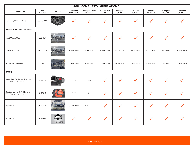| <b>2021 CONQUEST - INTERNATIONAL</b>                        |                       |                                               |                                  |                           |                           |                           |                             |                             |                             |                             |  |
|-------------------------------------------------------------|-----------------------|-----------------------------------------------|----------------------------------|---------------------------|---------------------------|---------------------------|-----------------------------|-----------------------------|-----------------------------|-----------------------------|--|
| <b>Description</b>                                          | Part<br><b>Number</b> | Image                                         | <b>Conquest</b><br>800 Outfitter | Conquest 950<br>Outfitter | Conquest 800<br><b>XT</b> | <b>Conquest</b><br>950 XT | <b>Conquest</b><br>800 XT-L | <b>Conquest</b><br>950 XT-L | <b>Conquest</b><br>800 XT-X | <b>Conquest</b><br>950 XT-L |  |
| 18" Heavy Duty Track Kit                                    | 958-88HD-NT           |                                               |                                  |                           |                           | $\checkmark$              |                             |                             |                             |                             |  |
| <b>BRUSHGUARD AND WINCHES</b>                               |                       |                                               |                                  |                           |                           |                           |                             |                             |                             |                             |  |
| Front Winch Mount                                           | 622-131               | /  Tijli Conquest                             |                                  |                           |                           |                           |                             |                             |                             |                             |  |
| VRX45-S Winch                                               | 900-0113              |                                               | <b>STANDARD</b>                  | <b>STANDARD</b>           | <b>STANDARD</b>           | <b>STANDARD</b>           | <b>STANDARD</b>             | <b>STANDARD</b>             | <b>STANDARD</b>             | <b>STANDARD</b>             |  |
| <b>Brushguard Assembly</b>                                  | 958-165               |                                               | <b>STANDARD</b>                  | <b>STANDARD</b>           | <b>STANDARD</b>           | <b>STANDARD</b>           | <b>STANDARD</b>             | <b>STANDARD</b>             | <b>STANDARD</b>             | <b>STANDARD</b>             |  |
| <b>CARGO</b>                                                |                       |                                               |                                  |                           |                           |                           |                             |                             |                             |                             |  |
| Spare Tire Carrier [Will Not Work<br>With Flatbed Platform) | 958-75                |                                               | N/A                              | N/A                       |                           |                           |                             |                             |                             |                             |  |
| Gas Can Carrier (Will Not Work<br>With Flatbed Platform)    | 958-80                |                                               | N/A                              | N/A                       |                           |                           |                             |                             |                             |                             |  |
| <b>Hood Rack</b>                                            | 900-0132              |                                               | <b>STANDARD</b>                  | <b>STANDARD</b>           |                           |                           |                             |                             |                             |                             |  |
| <b>Hood Rack</b>                                            | 958-222               | PICTURE NOT AVAILABLE<br>PHOTO NON DISPONIBLE |                                  |                           |                           |                           |                             |                             |                             |                             |  |